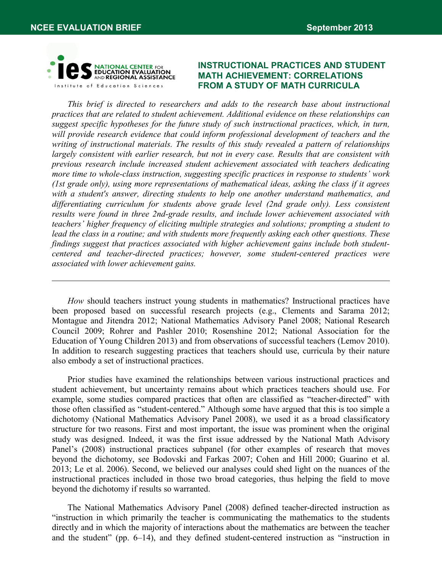

# **INSTRUCTIONAL PRACTICES AND STUDENT MATH ACHIEVEMENT: CORRELATIONS FROM A STUDY OF MATH CURRICULA**

*This brief is directed to researchers and adds to the research base about instructional practices that are related to student achievement. Additional evidence on these relationships can suggest specific hypotheses for the future study of such instructional practices, which, in turn, will provide research evidence that could inform professional development of teachers and the writing of instructional materials. The results of this study revealed a pattern of relationships largely consistent with earlier research, but not in every case. Results that are consistent with previous research include increased student achievement associated with teachers dedicating more time to whole-class instruction, suggesting specific practices in response to students' work (1st grade only), using more representations of mathematical ideas, asking the class if it agrees with a student's answer, directing students to help one another understand mathematics, and differentiating curriculum for students above grade level (2nd grade only). Less consistent results were found in three 2nd-grade results, and include lower achievement associated with teachers' higher frequency of eliciting multiple strategies and solutions; prompting a student to lead the class in a routine; and with students more frequently asking each other questions. These findings suggest that practices associated with higher achievement gains include both studentcentered and teacher-directed practices; however, some student-centered practices were associated with lower achievement gains.* 

*How* should teachers instruct young students in mathematics? Instructional practices have been proposed based on successful research projects (e.g., Clements and Sarama 2012; Montague and Jitendra 2012; National Mathematics Advisory Panel 2008; National Research Council 2009; Rohrer and Pashler 2010; Rosenshine 2012; National Association for the Education of Young Children 2013) and from observations of successful teachers (Lemov 2010). In addition to research suggesting practices that teachers should use, curricula by their nature also embody a set of instructional practices.

Prior studies have examined the relationships between various instructional practices and student achievement, but uncertainty remains about which practices teachers should use. For example, some studies compared practices that often are classified as "teacher-directed" with those often classified as "student-centered." Although some have argued that this is too simple a dichotomy (National Mathematics Advisory Panel 2008), we used it as a broad classificatory structure for two reasons. First and most important, the issue was prominent when the original study was designed. Indeed, it was the first issue addressed by the National Math Advisory Panel's (2008) instructional practices subpanel (for other examples of research that moves beyond the dichotomy, see Bodovski and Farkas 2007; Cohen and Hill 2000; Guarino et al. 2013; Le et al. 2006). Second, we believed our analyses could shed light on the nuances of the instructional practices included in those two broad categories, thus helping the field to move beyond the dichotomy if results so warranted.

The National Mathematics Advisory Panel (2008) defined teacher-directed instruction as "instruction in which primarily the teacher is communicating the mathematics to the students directly and in which the majority of interactions about the mathematics are between the teacher and the student" (pp. 6–14), and they defined student-centered instruction as "instruction in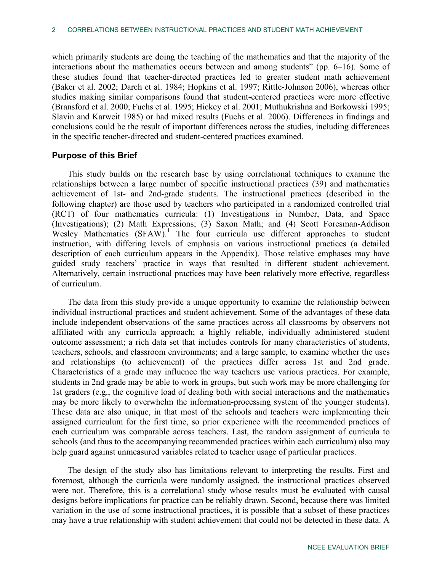which primarily students are doing the teaching of the mathematics and that the majority of the interactions about the mathematics occurs between and among students" (pp. 6–16). Some of these studies found that teacher-directed practices led to greater student math achievement (Baker et al. 2002; Darch et al. 1984; Hopkins et al. 1997; Rittle-Johnson 2006), whereas other studies making similar comparisons found that student-centered practices were more effective (Bransford et al. 2000; Fuchs et al. 1995; Hickey et al. 2001; Muthukrishna and Borkowski 1995; Slavin and Karweit 1985) or had mixed results (Fuchs et al. 2006). Differences in findings and conclusions could be the result of important differences across the studies, including differences in the specific teacher-directed and student-centered practices examined.

## **Purpose of this Brief**

This study builds on the research base by using correlational techniques to examine the relationships between a large number of specific instructional practices (39) and mathematics achievement of 1st- and 2nd-grade students. The instructional practices (described in the following chapter) are those used by teachers who participated in a randomized controlled trial (RCT) of four mathematics curricula: (1) Investigations in Number, Data, and Space (Investigations); (2) Math Expressions; (3) Saxon Math; and (4) Scott Foresman-Addison Wesley Mathematics  $(SFAW)$ .<sup>[1](#page-27-0)</sup> The four curricula use different approaches to student instruction, with differing levels of emphasis on various instructional practices (a detailed description of each curriculum appears in the Appendix). Those relative emphases may have guided study teachers' practice in ways that resulted in different student achievement. Alternatively, certain instructional practices may have been relatively more effective, regardless of curriculum.

The data from this study provide a unique opportunity to examine the relationship between individual instructional practices and student achievement. Some of the advantages of these data include independent observations of the same practices across all classrooms by observers not affiliated with any curricula approach; a highly reliable, individually administered student outcome assessment; a rich data set that includes controls for many characteristics of students, teachers, schools, and classroom environments; and a large sample, to examine whether the uses and relationships (to achievement) of the practices differ across 1st and 2nd grade. Characteristics of a grade may influence the way teachers use various practices. For example, students in 2nd grade may be able to work in groups, but such work may be more challenging for 1st graders (e.g., the cognitive load of dealing both with social interactions and the mathematics may be more likely to overwhelm the information-processing system of the younger students). These data are also unique, in that most of the schools and teachers were implementing their assigned curriculum for the first time, so prior experience with the recommended practices of each curriculum was comparable across teachers. Last, the random assignment of curricula to schools (and thus to the accompanying recommended practices within each curriculum) also may help guard against unmeasured variables related to teacher usage of particular practices.

The design of the study also has limitations relevant to interpreting the results. First and foremost, although the curricula were randomly assigned, the instructional practices observed were not. Therefore, this is a correlational study whose results must be evaluated with causal designs before implications for practice can be reliably drawn. Second, because there was limited variation in the use of some instructional practices, it is possible that a subset of these practices may have a true relationship with student achievement that could not be detected in these data. A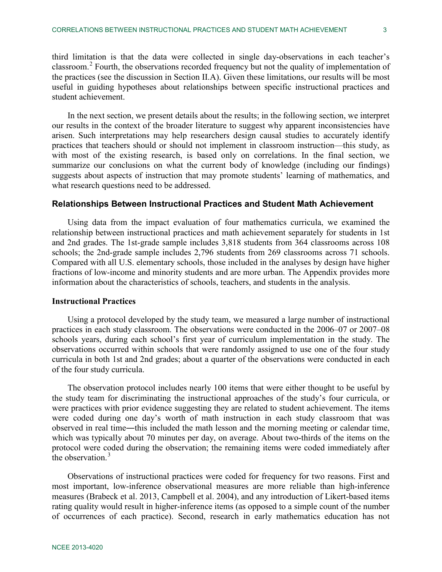third limitation is that the data were collected in single day-observations in each teacher's classroom.<sup>[2](#page-27-1)</sup> Fourth, the observations recorded frequency but not the quality of implementation of the practices (see the discussion in Section II.A). Given these limitations, our results will be most useful in guiding hypotheses about relationships between specific instructional practices and student achievement.

In the next section, we present details about the results; in the following section, we interpret our results in the context of the broader literature to suggest why apparent inconsistencies have arisen. Such interpretations may help researchers design causal studies to accurately identify practices that teachers should or should not implement in classroom instruction—this study, as with most of the existing research, is based only on correlations. In the final section, we summarize our conclusions on what the current body of knowledge (including our findings) suggests about aspects of instruction that may promote students' learning of mathematics, and what research questions need to be addressed.

# **Relationships Between Instructional Practices and Student Math Achievement**

Using data from the impact evaluation of four mathematics curricula, we examined the relationship between instructional practices and math achievement separately for students in 1st and 2nd grades. The 1st-grade sample includes 3,818 students from 364 classrooms across 108 schools; the 2nd-grade sample includes 2,796 students from 269 classrooms across 71 schools. Compared with all U.S. elementary schools, those included in the analyses by design have higher fractions of low-income and minority students and are more urban. The Appendix provides more information about the characteristics of schools, teachers, and students in the analysis.

## **Instructional Practices**

Using a protocol developed by the study team, we measured a large number of instructional practices in each study classroom. The observations were conducted in the 2006–07 or 2007–08 schools years, during each school's first year of curriculum implementation in the study. The observations occurred within schools that were randomly assigned to use one of the four study curricula in both 1st and 2nd grades; about a quarter of the observations were conducted in each of the four study curricula.

The observation protocol includes nearly 100 items that were either thought to be useful by the study team for discriminating the instructional approaches of the study's four curricula, or were practices with prior evidence suggesting they are related to student achievement. The items were coded during one day's worth of math instruction in each study classroom that was observed in real time―this included the math lesson and the morning meeting or calendar time, which was typically about 70 minutes per day, on average. About two-thirds of the items on the protocol were coded during the observation; the remaining items were coded immediately after the observation.<sup>[3](#page-27-2)</sup>

Observations of instructional practices were coded for frequency for two reasons. First and most important, low-inference observational measures are more reliable than high-inference measures (Brabeck et al. 2013, Campbell et al. 2004), and any introduction of Likert-based items rating quality would result in higher-inference items (as opposed to a simple count of the number of occurrences of each practice). Second, research in early mathematics education has not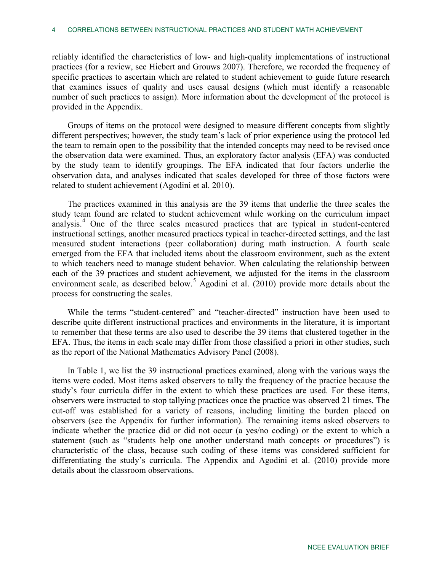reliably identified the characteristics of low- and high-quality implementations of instructional practices (for a review, see Hiebert and Grouws 2007). Therefore, we recorded the frequency of specific practices to ascertain which are related to student achievement to guide future research that examines issues of quality and uses causal designs (which must identify a reasonable number of such practices to assign). More information about the development of the protocol is provided in the Appendix.

Groups of items on the protocol were designed to measure different concepts from slightly different perspectives; however, the study team's lack of prior experience using the protocol led the team to remain open to the possibility that the intended concepts may need to be revised once the observation data were examined. Thus, an exploratory factor analysis (EFA) was conducted by the study team to identify groupings. The EFA indicated that four factors underlie the observation data, and analyses indicated that scales developed for three of those factors were related to student achievement (Agodini et al. 2010).

The practices examined in this analysis are the 39 items that underlie the three scales the study team found are related to student achievement while working on the curriculum impact analysis. [4](#page-27-3) One of the three scales measured practices that are typical in student-centered instructional settings, another measured practices typical in teacher-directed settings, and the last measured student interactions (peer collaboration) during math instruction. A fourth scale emerged from the EFA that included items about the classroom environment, such as the extent to which teachers need to manage student behavior. When calculating the relationship between each of the 39 practices and student achievement, we adjusted for the items in the classroom environment scale, as described below.<sup>[5](#page-27-4)</sup> Agodini et al.  $(2010)$  provide more details about the process for constructing the scales.

While the terms "student-centered" and "teacher-directed" instruction have been used to describe quite different instructional practices and environments in the literature, it is important to remember that these terms are also used to describe the 39 items that clustered together in the EFA. Thus, the items in each scale may differ from those classified a priori in other studies, such as the report of the National Mathematics Advisory Panel (2008).

In Table 1, we list the 39 instructional practices examined, along with the various ways the items were coded. Most items asked observers to tally the frequency of the practice because the study's four curricula differ in the extent to which these practices are used. For these items, observers were instructed to stop tallying practices once the practice was observed 21 times. The cut-off was established for a variety of reasons, including limiting the burden placed on observers (see the Appendix for further information). The remaining items asked observers to indicate whether the practice did or did not occur (a yes/no coding) or the extent to which a statement (such as "students help one another understand math concepts or procedures") is characteristic of the class, because such coding of these items was considered sufficient for differentiating the study's curricula. The Appendix and Agodini et al. (2010) provide more details about the classroom observations.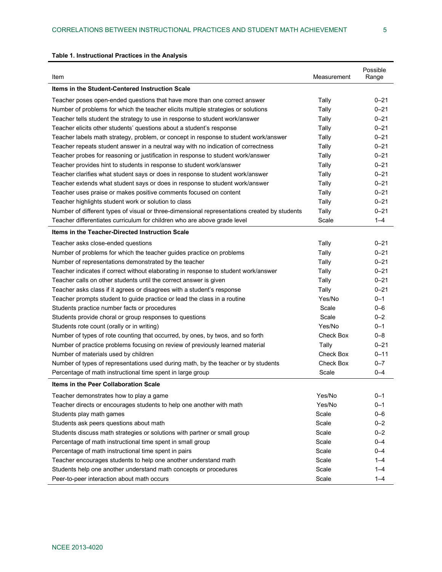| Item                                                                                         | Measurement | Possible<br>Range |
|----------------------------------------------------------------------------------------------|-------------|-------------------|
| Items in the Student-Centered Instruction Scale                                              |             |                   |
| Teacher poses open-ended questions that have more than one correct answer                    | Tally       | $0 - 21$          |
| Number of problems for which the teacher elicits multiple strategies or solutions            | Tally       | $0 - 21$          |
| Teacher tells student the strategy to use in response to student work/answer                 | Tally       | $0 - 21$          |
| Teacher elicits other students' questions about a student's response                         | Tally       | $0 - 21$          |
| Teacher labels math strategy, problem, or concept in response to student work/answer         | Tally       | $0 - 21$          |
| Teacher repeats student answer in a neutral way with no indication of correctness            | Tally       | $0 - 21$          |
| Teacher probes for reasoning or justification in response to student work/answer             | Tally       | $0 - 21$          |
| Teacher provides hint to students in response to student work/answer                         | Tally       | $0 - 21$          |
| Teacher clarifies what student says or does in response to student work/answer               | Tally       | $0 - 21$          |
| Teacher extends what student says or does in response to student work/answer                 | Tally       | $0 - 21$          |
| Teacher uses praise or makes positive comments focused on content                            | Tally       | $0 - 21$          |
| Teacher highlights student work or solution to class                                         | Tally       | $0 - 21$          |
| Number of different types of visual or three-dimensional representations created by students | Tally       | $0 - 21$          |
| Teacher differentiates curriculum for children who are above grade level                     | Scale       | $1 - 4$           |
| Items in the Teacher-Directed Instruction Scale                                              |             |                   |
| Teacher asks close-ended questions                                                           | Tally       | $0 - 21$          |
| Number of problems for which the teacher guides practice on problems                         | Tally       | $0 - 21$          |
| Number of representations demonstrated by the teacher                                        | Tally       | $0 - 21$          |
| Teacher indicates if correct without elaborating in response to student work/answer          | Tally       | $0 - 21$          |
| Teacher calls on other students until the correct answer is given                            | Tally       | $0 - 21$          |
| Teacher asks class if it agrees or disagrees with a student's response                       | Tally       | $0 - 21$          |
| Teacher prompts student to guide practice or lead the class in a routine                     | Yes/No      | $0 - 1$           |
| Students practice number facts or procedures                                                 | Scale       | $0 - 6$           |
| Students provide choral or group responses to questions                                      | Scale       | $0 - 2$           |
| Students rote count (orally or in writing)                                                   | Yes/No      | $0 - 1$           |
| Number of types of rote counting that occurred, by ones, by twos, and so forth               | Check Box   | $0 - 8$           |
| Number of practice problems focusing on review of previously learned material                | Tally       | $0 - 21$          |
| Number of materials used by children                                                         | Check Box   | $0 - 11$          |
| Number of types of representations used during math, by the teacher or by students           | Check Box   | $0 - 7$           |
| Percentage of math instructional time spent in large group                                   | Scale       | $0 - 4$           |
| <b>Items in the Peer Collaboration Scale</b>                                                 |             |                   |
| Teacher demonstrates how to play a game                                                      | Yes/No      | $0 - 1$           |
| Teacher directs or encourages students to help one another with math                         | Yes/No      | $0 - 1$           |
| Students play math games                                                                     | Scale       | $0 - 6$           |
| Students ask peers questions about math                                                      | Scale       | $0 - 2$           |
| Students discuss math strategies or solutions with partner or small group                    | Scale       | $0 - 2$           |
| Percentage of math instructional time spent in small group                                   | Scale       | $0 - 4$           |
| Percentage of math instructional time spent in pairs                                         | Scale       | $0 - 4$           |
| Teacher encourages students to help one another understand math                              | Scale       | $1 - 4$           |
| Students help one another understand math concepts or procedures                             | Scale       | $1 - 4$           |
| Peer-to-peer interaction about math occurs                                                   | Scale       | $1 - 4$           |

#### **Table 1. Instructional Practices in the Analysis**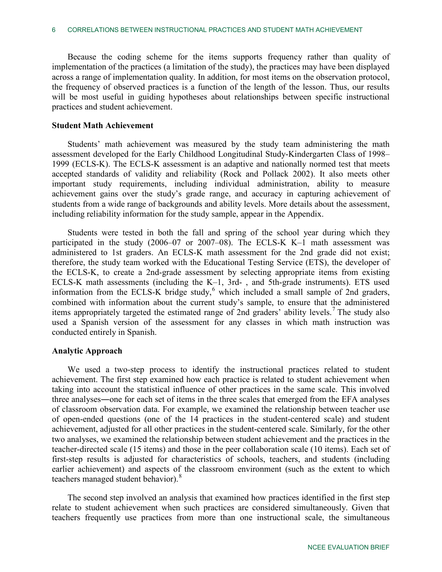Because the coding scheme for the items supports frequency rather than quality of implementation of the practices (a limitation of the study), the practices may have been displayed across a range of implementation quality. In addition, for most items on the observation protocol, the frequency of observed practices is a function of the length of the lesson. Thus, our results will be most useful in guiding hypotheses about relationships between specific instructional practices and student achievement.

### **Student Math Achievement**

Students' math achievement was measured by the study team administering the math assessment developed for the Early Childhood Longitudinal Study-Kindergarten Class of 1998– 1999 (ECLS-K). The ECLS-K assessment is an adaptive and nationally normed test that meets accepted standards of validity and reliability (Rock and Pollack 2002). It also meets other important study requirements, including individual administration, ability to measure achievement gains over the study's grade range, and accuracy in capturing achievement of students from a wide range of backgrounds and ability levels. More details about the assessment, including reliability information for the study sample, appear in the Appendix.

Students were tested in both the fall and spring of the school year during which they participated in the study (2006–07 or 2007–08). The ECLS-K K–1 math assessment was administered to 1st graders. An ECLS-K math assessment for the 2nd grade did not exist; therefore, the study team worked with the Educational Testing Service (ETS), the developer of the ECLS-K, to create a 2nd-grade assessment by selecting appropriate items from existing ECLS-K math assessments (including the K–1, 3rd- , and 5th-grade instruments). ETS used information from the ECLS-K bridge study, $6$  which included a small sample of 2nd graders, combined with information about the current study's sample, to ensure that the administered items appropriately targeted the estimated range of 2nd graders' ability levels.<sup>[7](#page-27-6)</sup> The study also used a Spanish version of the assessment for any classes in which math instruction was conducted entirely in Spanish.

## **Analytic Approach**

We used a two-step process to identify the instructional practices related to student achievement. The first step examined how each practice is related to student achievement when taking into account the statistical influence of other practices in the same scale. This involved three analyses―one for each set of items in the three scales that emerged from the EFA analyses of classroom observation data. For example, we examined the relationship between teacher use of open-ended questions (one of the 14 practices in the student-centered scale) and student achievement, adjusted for all other practices in the student-centered scale. Similarly, for the other two analyses, we examined the relationship between student achievement and the practices in the teacher-directed scale (15 items) and those in the peer collaboration scale (10 items). Each set of first-step results is adjusted for characteristics of schools, teachers, and students (including earlier achievement) and aspects of the classroom environment (such as the extent to which teachers managed student behavior).<sup>[8](#page-27-7)</sup>

The second step involved an analysis that examined how practices identified in the first step relate to student achievement when such practices are considered simultaneously. Given that teachers frequently use practices from more than one instructional scale, the simultaneous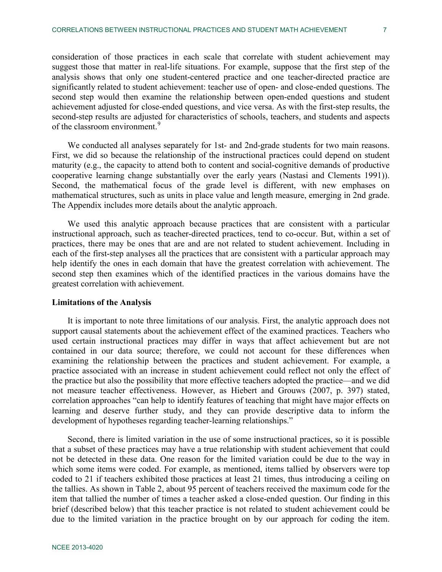consideration of those practices in each scale that correlate with student achievement may suggest those that matter in real-life situations. For example, suppose that the first step of the analysis shows that only one student-centered practice and one teacher-directed practice are significantly related to student achievement: teacher use of open- and close-ended questions. The second step would then examine the relationship between open-ended questions and student achievement adjusted for close-ended questions, and vice versa. As with the first-step results, the second-step results are adjusted for characteristics of schools, teachers, and students and aspects of the classroom environment.<sup>[9](#page-27-8)</sup>

We conducted all analyses separately for 1st- and 2nd-grade students for two main reasons. First, we did so because the relationship of the instructional practices could depend on student maturity (e.g., the capacity to attend both to content and social-cognitive demands of productive cooperative learning change substantially over the early years (Nastasi and Clements 1991)). Second, the mathematical focus of the grade level is different, with new emphases on mathematical structures, such as units in place value and length measure, emerging in 2nd grade. The Appendix includes more details about the analytic approach.

We used this analytic approach because practices that are consistent with a particular instructional approach, such as teacher-directed practices, tend to co-occur. But, within a set of practices, there may be ones that are and are not related to student achievement. Including in each of the first-step analyses all the practices that are consistent with a particular approach may help identify the ones in each domain that have the greatest correlation with achievement. The second step then examines which of the identified practices in the various domains have the greatest correlation with achievement.

### **Limitations of the Analysis**

It is important to note three limitations of our analysis. First, the analytic approach does not support causal statements about the achievement effect of the examined practices. Teachers who used certain instructional practices may differ in ways that affect achievement but are not contained in our data source; therefore, we could not account for these differences when examining the relationship between the practices and student achievement. For example, a practice associated with an increase in student achievement could reflect not only the effect of the practice but also the possibility that more effective teachers adopted the practice—and we did not measure teacher effectiveness. However, as Hiebert and Grouws (2007, p. 397) stated, correlation approaches "can help to identify features of teaching that might have major effects on learning and deserve further study, and they can provide descriptive data to inform the development of hypotheses regarding teacher-learning relationships."

Second, there is limited variation in the use of some instructional practices, so it is possible that a subset of these practices may have a true relationship with student achievement that could not be detected in these data. One reason for the limited variation could be due to the way in which some items were coded. For example, as mentioned, items tallied by observers were top coded to 21 if teachers exhibited those practices at least 21 times, thus introducing a ceiling on the tallies. As shown in Table 2, about 95 percent of teachers received the maximum code for the item that tallied the number of times a teacher asked a close-ended question. Our finding in this brief (described below) that this teacher practice is not related to student achievement could be due to the limited variation in the practice brought on by our approach for coding the item.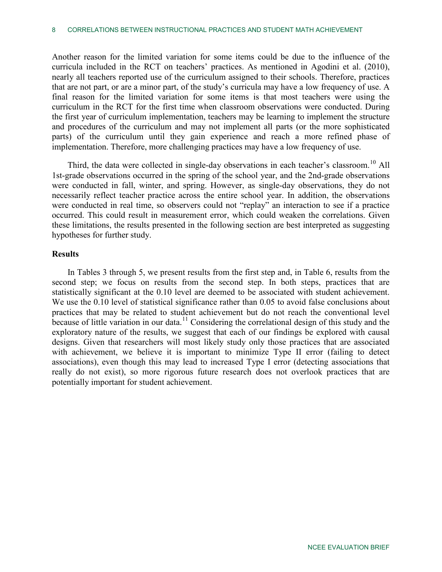Another reason for the limited variation for some items could be due to the influence of the curricula included in the RCT on teachers' practices. As mentioned in Agodini et al. (2010), nearly all teachers reported use of the curriculum assigned to their schools. Therefore, practices that are not part, or are a minor part, of the study's curricula may have a low frequency of use. A final reason for the limited variation for some items is that most teachers were using the curriculum in the RCT for the first time when classroom observations were conducted. During the first year of curriculum implementation, teachers may be learning to implement the structure and procedures of the curriculum and may not implement all parts (or the more sophisticated parts) of the curriculum until they gain experience and reach a more refined phase of implementation. Therefore, more challenging practices may have a low frequency of use.

Third, the data were collected in single-day observations in each teacher's classroom.<sup>[10](#page-27-9)</sup> All 1st-grade observations occurred in the spring of the school year, and the 2nd-grade observations were conducted in fall, winter, and spring. However, as single-day observations, they do not necessarily reflect teacher practice across the entire school year. In addition, the observations were conducted in real time, so observers could not "replay" an interaction to see if a practice occurred. This could result in measurement error, which could weaken the correlations. Given these limitations, the results presented in the following section are best interpreted as suggesting hypotheses for further study.

## **Results**

In Tables 3 through 5, we present results from the first step and, in Table 6, results from the second step; we focus on results from the second step. In both steps, practices that are statistically significant at the 0.10 level are deemed to be associated with student achievement. We use the 0.10 level of statistical significance rather than 0.05 to avoid false conclusions about practices that may be related to student achievement but do not reach the conventional level because of little variation in our data.<sup>[11](#page-27-10)</sup> Considering the correlational design of this study and the exploratory nature of the results, we suggest that each of our findings be explored with causal designs. Given that researchers will most likely study only those practices that are associated with achievement, we believe it is important to minimize Type II error (failing to detect associations), even though this may lead to increased Type I error (detecting associations that really do not exist), so more rigorous future research does not overlook practices that are potentially important for student achievement.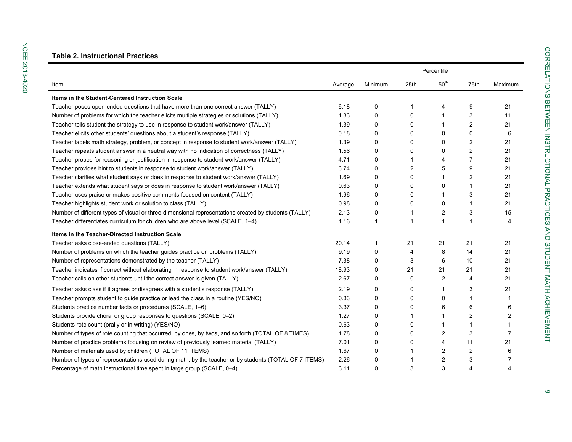NCEE 2013-4020

**NCEE 2013-4020** 

|                                                                                                       |         |             | Percentile     |                  |                |         |
|-------------------------------------------------------------------------------------------------------|---------|-------------|----------------|------------------|----------------|---------|
| Item                                                                                                  | Average | Minimum     | 25th           | 50 <sup>th</sup> | 75th           | Maximum |
| Items in the Student-Centered Instruction Scale                                                       |         |             |                |                  |                |         |
| Teacher poses open-ended questions that have more than one correct answer (TALLY)                     | 6.18    | 0           | 1              | 4                | 9              | 21      |
| Number of problems for which the teacher elicits multiple strategies or solutions (TALLY)             | 1.83    | 0           | 0              | 1                | 3              | 11      |
| Teacher tells student the strategy to use in response to student work/answer (TALLY)                  | 1.39    | $\Omega$    | 0              | 1                | $\overline{c}$ | 21      |
| Teacher elicits other students' questions about a student's response (TALLY)                          | 0.18    | 0           | 0              | 0                | 0              | 6       |
| Teacher labels math strategy, problem, or concept in response to student work/answer (TALLY)          | 1.39    | 0           | 0              | 0                | $\overline{c}$ | 21      |
| Teacher repeats student answer in a neutral way with no indication of correctness (TALLY)             | 1.56    | 0           | 0              | 0                | $\overline{c}$ | 21      |
| Teacher probes for reasoning or justification in response to student work/answer (TALLY)              | 4.71    | 0           | 1              | 4                | $\overline{7}$ | 21      |
| Teacher provides hint to students in response to student work/answer (TALLY)                          | 6.74    | 0           | $\overline{c}$ | 5                | 9              | 21      |
| Teacher clarifies what student says or does in response to student work/answer (TALLY)                | 1.69    | $\Omega$    | 0              | 1                | 2              | 21      |
| Teacher extends what student says or does in response to student work/answer (TALLY)                  | 0.63    | 0           | 0              | 0                | 1              | 21      |
| Teacher uses praise or makes positive comments focused on content (TALLY)                             | 1.96    | 0           | 0              | 1                | 3              | 21      |
| Teacher highlights student work or solution to class (TALLY)                                          | 0.98    | 0           | 0              | 0                | 1              | 21      |
| Number of different types of visual or three-dimensional representations created by students (TALLY)  | 2.13    | 0           | 1              | 2                | 3              | 15      |
| Teacher differentiates curriculum for children who are above level (SCALE, 1-4)                       | 1.16    | $\mathbf 1$ | 1              | 1                | 1              | 4       |
| Items in the Teacher-Directed Instruction Scale                                                       |         |             |                |                  |                |         |
| Teacher asks close-ended questions (TALLY)                                                            | 20.14   | 1           | 21             | 21               | 21             | 21      |
| Number of problems on which the teacher guides practice on problems (TALLY)                           | 9.19    | 0           | 4              | 8                | 14             | 21      |
| Number of representations demonstrated by the teacher (TALLY)                                         | 7.38    | 0           | 3              | 6                | 10             | 21      |
| Teacher indicates if correct without elaborating in response to student work/answer (TALLY)           | 18.93   | 0           | 21             | 21               | 21             | 21      |
| Teacher calls on other students until the correct answer is given (TALLY)                             | 2.67    | 0           | 0              | 2                | 4              | 21      |
| Teacher asks class if it agrees or disagrees with a student's response (TALLY)                        | 2.19    | 0           | 0              | 1                | 3              | 21      |
| Teacher prompts student to guide practice or lead the class in a routine (YES/NO)                     | 0.33    | 0           | 0              | 0                | 1              |         |
| Students practice number facts or procedures (SCALE, 1-6)                                             | 3.37    | 0           | 0              | 6                | 6              | 6       |
| Students provide choral or group responses to questions (SCALE, 0-2)                                  | 1.27    | 0           | 1              | 1                | 2              | 2       |
| Students rote count (orally or in writing) (YES/NO)                                                   | 0.63    | $\Omega$    | 0              | 1                | 1              |         |
| Number of types of rote counting that occurred, by ones, by twos, and so forth (TOTAL OF 8 TIMES)     | 1.78    | $\Omega$    | 0              | 2                | 3              | 7       |
| Number of practice problems focusing on review of previously learned material (TALLY)                 | 7.01    | 0           | 0              | 4                | 11             | 21      |
| Number of materials used by children (TOTAL OF 11 ITEMS)                                              | 1.67    | 0           | 1              | 2                | 2              | 6       |
| Number of types of representations used during math, by the teacher or by students (TOTAL OF 7 ITEMS) | 2.26    | 0           | 1              | $\overline{2}$   | 3              | 7       |
| Percentage of math instructional time spent in large group (SCALE, 0-4)                               | 3.11    | 0           | 3              | 3                | 4              | 4       |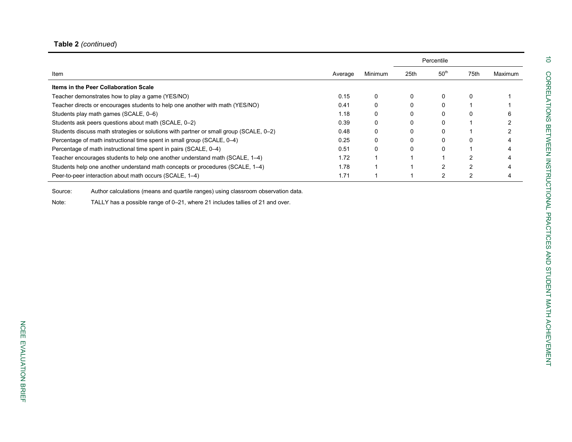# **Table 2** *(continued*)

|                                                                                        |         |                | Percentile |                  |      |         |
|----------------------------------------------------------------------------------------|---------|----------------|------------|------------------|------|---------|
| Item                                                                                   | Average | <b>Minimum</b> | 25th       | 50 <sup>th</sup> | 75th | Maximum |
| Items in the Peer Collaboration Scale                                                  |         |                |            |                  |      |         |
| Teacher demonstrates how to play a game (YES/NO)                                       | 0.15    |                |            | 0                | 0    |         |
| Teacher directs or encourages students to help one another with math (YES/NO)          | 0.41    |                |            |                  |      |         |
| Students play math games (SCALE, 0-6)                                                  | 1.18    |                |            |                  | 0    |         |
| Students ask peers questions about math (SCALE, 0-2)                                   | 0.39    |                |            |                  |      |         |
| Students discuss math strategies or solutions with partner or small group (SCALE, 0-2) | 0.48    |                |            |                  |      |         |
| Percentage of math instructional time spent in small group (SCALE, 0-4)                | 0.25    |                |            |                  | 0    |         |
| Percentage of math instructional time spent in pairs (SCALE, 0–4)                      | 0.51    |                |            |                  |      |         |
| Teacher encourages students to help one another understand math (SCALE, 1-4)           | 1.72    |                |            |                  |      |         |
| Students help one another understand math concepts or procedures (SCALE, 1-4)          | 1.78    |                |            |                  |      |         |
| Peer-to-peer interaction about math occurs (SCALE, 1-4)                                | 1.71    |                |            | $\mathcal{P}$    | 2    |         |

Source: Author calculations (means and quartile ranges) using classroom observation data.

Note: TALLY has a possible range of 0 –21, where 21 includes tallies of 21 and over.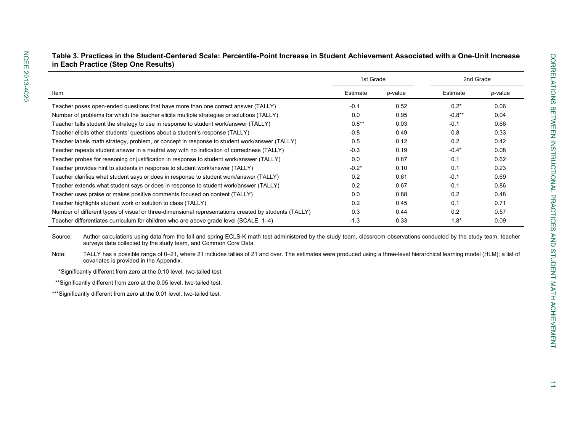|                                                                                                      |           | 2nd Grade |          |         |
|------------------------------------------------------------------------------------------------------|-----------|-----------|----------|---------|
|                                                                                                      | 1st Grade |           |          |         |
| Item                                                                                                 | Estimate  | p-value   | Estimate | p-value |
| Teacher poses open-ended questions that have more than one correct answer (TALLY)                    | $-0.1$    | 0.52      | $0.2*$   | 0.06    |
| Number of problems for which the teacher elicits multiple strategies or solutions (TALLY)            | 0.0       | 0.95      | $-0.8**$ | 0.04    |
| Teacher tells student the strategy to use in response to student work/answer (TALLY)                 | $0.8**$   | 0.03      | $-0.1$   | 0.66    |
| Teacher elicits other students' questions about a student's response (TALLY)                         | $-0.8$    | 0.49      | 0.8      | 0.33    |
| Teacher labels math strategy, problem, or concept in response to student work/answer (TALLY)         | 0.5       | 0.12      | 0.2      | 0.42    |
| Teacher repeats student answer in a neutral way with no indication of correctness (TALLY)            | $-0.3$    | 0.19      | $-0.4*$  | 0.08    |
| Teacher probes for reasoning or justification in response to student work/answer (TALLY)             | 0.0       | 0.87      | 0.1      | 0.62    |
| Teacher provides hint to students in response to student work/answer (TALLY)                         | $-0.2*$   | 0.10      | 0.1      | 0.23    |
| Teacher clarifies what student says or does in response to student work/answer (TALLY)               | 0.2       | 0.61      | $-0.1$   | 0.69    |
| Teacher extends what student says or does in response to student work/answer (TALLY)                 | 0.2       | 0.67      | $-0.1$   | 0.86    |
| Teacher uses praise or makes positive comments focused on content (TALLY)                            | 0.0       | 0.88      | 0.2      | 0.48    |
| Teacher highlights student work or solution to class (TALLY)                                         | 0.2       | 0.45      | 0.1      | 0.71    |
| Number of different types of visual or three-dimensional representations created by students (TALLY) | 0.3       | 0.44      | 0.2      | 0.57    |
| Teacher differentiates curriculum for children who are above grade level (SCALE, 1-4)                | $-1.3$    | 0.33      | $1.8*$   | 0.09    |

**Table 3. Practices in the Student-Centered Scale: Percentile-Point Increase in Student Achievement Associated with a One-Unit Increase in Each Practice (Step One Results)**

Source: Author calculations using data from the fall and spring ECLS-K math test administered by the study team, classroom observations conducted by the study team, teacher surveys data collected by the study team, and Common Core Data.

Note: TALLY has a possible range of 0–21, where 21 includes tallies of 21 and over. The estimates were produced using a three-level hierarchical learning model (HLM); a list of covariates is provided in the Appendix.

\*Significantly different from zero at the 0.10 level, two-tailed test.

\*\*Significantly different from zero at the 0.05 level, two-tailed test.

\*\*\*Significantly different from zero at the 0.01 level, two-tailed test.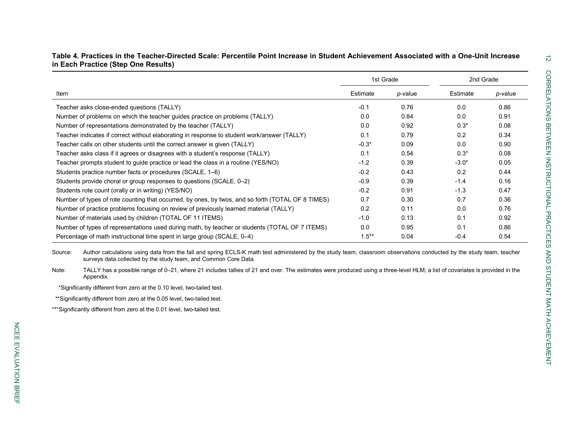|                                                                                                   | 1st Grade |         | 2nd Grade |         |
|---------------------------------------------------------------------------------------------------|-----------|---------|-----------|---------|
| Item                                                                                              | Estimate  | p-value | Estimate  | p-value |
| Teacher asks close-ended questions (TALLY)                                                        | $-0.1$    | 0.76    | 0.0       | 0.86    |
| Number of problems on which the teacher guides practice on problems (TALLY)                       | 0.0       | 0.84    | 0.0       | 0.91    |
| Number of representations demonstrated by the teacher (TALLY)                                     | 0.0       | 0.92    | $0.3*$    | 0.08    |
| Teacher indicates if correct without elaborating in response to student work/answer (TALLY)       | 0.1       | 0.79    | 0.2       | 0.34    |
| Teacher calls on other students until the correct answer is given (TALLY)                         | $-0.3*$   | 0.09    | 0.0       | 0.90    |
| Teacher asks class if it agrees or disagrees with a student's response (TALLY)                    | 0.1       | 0.54    | $0.3*$    | 0.08    |
| Teacher prompts student to guide practice or lead the class in a routine (YES/NO)                 | $-1.2$    | 0.39    | $-3.0*$   | 0.05    |
| Students practice number facts or procedures (SCALE, 1–6)                                         | $-0.2$    | 0.43    | 0.2       | 0.44    |
| Students provide choral or group responses to questions (SCALE, 0–2)                              | $-0.9$    | 0.39    | $-1.4$    | 0.16    |
| Students rote count (orally or in writing) (YES/NO)                                               | $-0.2$    | 0.91    | $-1.3$    | 0.47    |
| Number of types of rote counting that occurred, by ones, by twos, and so forth (TOTAL OF 8 TIMES) | 0.7       | 0.30    | 0.7       | 0.36    |
| Number of practice problems focusing on review of previously learned material (TALLY)             | 0.2       | 0.11    | 0.0       | 0.76    |
| Number of materials used by children (TOTAL OF 11 ITEMS)                                          | $-1.0$    | 0.13    | 0.1       | 0.92    |
| Number of types of representations used during math, by teacher or students (TOTAL OF 7 ITEMS)    | 0.0       | 0.95    | 0.1       | 0.86    |
| Percentage of math instructional time spent in large group (SCALE, 0–4)                           | $1.5***$  | 0.04    | $-0.4$    | 0.54    |

**Table 4. Practices in the Teacher-Directed Scale: Percentile Point Increase in Student Achievement Associated with a One-Unit Increase in Each Practice (Step One Results)**

Source: Author calculations using data from the fall and spring ECLS-K math test administered by the study team, classroom observations conducted by the study team, teacher surveys data collected by the study team, and Common Core Data.

Note: TALLY has a possible range of 0-21, where 21 includes tallies of 21 and over. The estimates were produced using a three-level HLM; a list of covariates is provided in the Appendix.

\*Significantly different from zero at the 0.10 level, two-tailed test.

\*\*Significantly different from zero at the 0.05 level, two-tailed test.

\*\*\*Significantly different from zero at the 0.01 level, two-tailed test.

 $\vec{z}$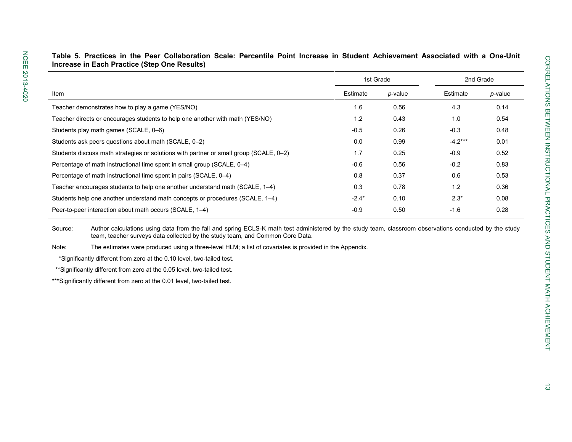|                                                                                        | 1st Grade |            | 2nd Grade |         |  |
|----------------------------------------------------------------------------------------|-----------|------------|-----------|---------|--|
| Item                                                                                   | Estimate  | $p$ -value | Estimate  | p-value |  |
| Teacher demonstrates how to play a game (YES/NO)                                       | 1.6       | 0.56       | 4.3       | 0.14    |  |
| Teacher directs or encourages students to help one another with math (YES/NO)          | 1.2       | 0.43       | 1.0       | 0.54    |  |
| Students play math games (SCALE, 0-6)                                                  | $-0.5$    | 0.26       | $-0.3$    | 0.48    |  |
| Students ask peers questions about math (SCALE, 0-2)                                   | 0.0       | 0.99       | $-4.2***$ | 0.01    |  |
| Students discuss math strategies or solutions with partner or small group (SCALE, 0-2) | 1.7       | 0.25       | $-0.9$    | 0.52    |  |
| Percentage of math instructional time spent in small group (SCALE, 0–4)                | $-0.6$    | 0.56       | $-0.2$    | 0.83    |  |
| Percentage of math instructional time spent in pairs (SCALE, 0–4)                      | 0.8       | 0.37       | 0.6       | 0.53    |  |
| Teacher encourages students to help one another understand math (SCALE, 1–4)           | 0.3       | 0.78       | 1.2       | 0.36    |  |
| Students help one another understand math concepts or procedures (SCALE, 1–4)          | $-2.4*$   | 0.10       | $2.3*$    | 0.08    |  |
| Peer-to-peer interaction about math occurs (SCALE, 1-4)                                | $-0.9$    | 0.50       | $-1.6$    | 0.28    |  |

**Table 5. Practices in the Peer Collaboration Scale: Percentile Point Increase in Student Achievement Associated with a One-Unit Increase in Each Practice (Step One Results)**

Source: Author calculations using data from the fall and spring ECLS-K math test administered by the study team, classroom observations conducted by the study team, teacher surveys data collected by the study team, and Common Core Data.

Note: The estimates were produced using a three-level HLM; a list of covariates is provided in the Appendix.

\*Significantly different from zero at the 0.10 level, two-tailed test.

\*\*Significantly different from zero at the 0.05 level, two-tailed test.

\*\*\*Significantly different from zero at the 0.01 level, two-tailed test.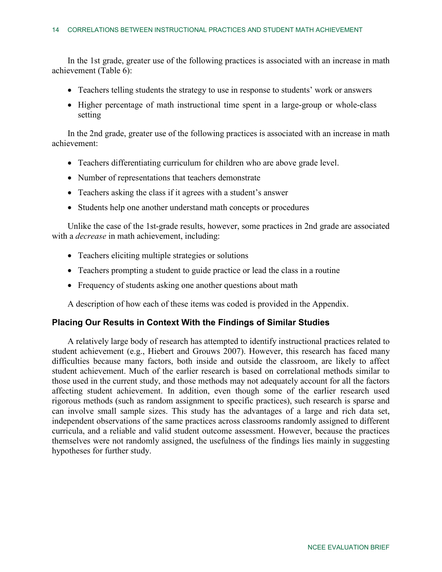In the 1st grade, greater use of the following practices is associated with an increase in math achievement (Table 6):

- Teachers telling students the strategy to use in response to students' work or answers
- Higher percentage of math instructional time spent in a large-group or whole-class setting

In the 2nd grade, greater use of the following practices is associated with an increase in math achievement:

- Teachers differentiating curriculum for children who are above grade level.
- Number of representations that teachers demonstrate
- Teachers asking the class if it agrees with a student's answer
- Students help one another understand math concepts or procedures

Unlike the case of the 1st-grade results, however, some practices in 2nd grade are associated with a *decrease* in math achievement, including:

- Teachers eliciting multiple strategies or solutions
- Teachers prompting a student to guide practice or lead the class in a routine
- Frequency of students asking one another questions about math

A description of how each of these items was coded is provided in the Appendix.

## **Placing Our Results in Context With the Findings of Similar Studies**

A relatively large body of research has attempted to identify instructional practices related to student achievement (e.g., Hiebert and Grouws 2007). However, this research has faced many difficulties because many factors, both inside and outside the classroom, are likely to affect student achievement. Much of the earlier research is based on correlational methods similar to those used in the current study, and those methods may not adequately account for all the factors affecting student achievement. In addition, even though some of the earlier research used rigorous methods (such as random assignment to specific practices), such research is sparse and can involve small sample sizes. This study has the advantages of a large and rich data set, independent observations of the same practices across classrooms randomly assigned to different curricula, and a reliable and valid student outcome assessment. However, because the practices themselves were not randomly assigned, the usefulness of the findings lies mainly in suggesting hypotheses for further study.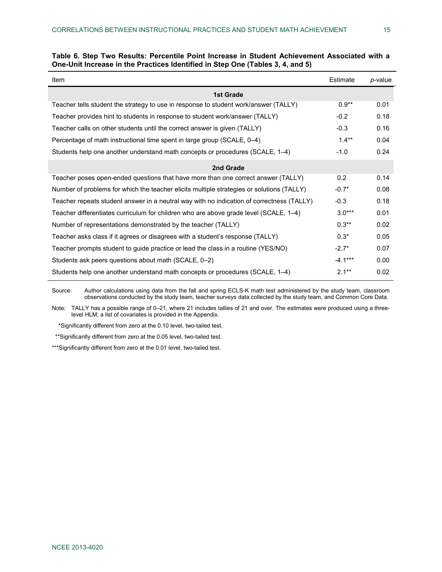| Item                                                                                      | Estimate  | p-value |
|-------------------------------------------------------------------------------------------|-----------|---------|
| <b>1st Grade</b>                                                                          |           |         |
| Teacher tells student the strategy to use in response to student work/answer (TALLY)      | $0.9**$   | 0.01    |
| Teacher provides hint to students in response to student work/answer (TALLY)              | $-0.2$    | 0.18    |
| Teacher calls on other students until the correct answer is given (TALLY)                 | $-0.3$    | 0.16    |
| Percentage of math instructional time spent in large group (SCALE, 0–4)                   | $1.4***$  | 0.04    |
| Students help one another understand math concepts or procedures (SCALE, 1–4)             | $-1.0$    | 0.24    |
| 2nd Grade                                                                                 |           |         |
| Teacher poses open-ended questions that have more than one correct answer (TALLY)         | 0.2       | 0.14    |
| Number of problems for which the teacher elicits multiple strategies or solutions (TALLY) | $-0.7*$   | 0.08    |
| Teacher repeats student answer in a neutral way with no indication of correctness (TALLY) | $-0.3$    | 0.18    |
| Teacher differentiates curriculum for children who are above grade level (SCALE, 1–4)     | $3.0***$  | 0.01    |
| Number of representations demonstrated by the teacher (TALLY)                             | $0.3**$   | 0.02    |
| Teacher asks class if it agrees or disagrees with a student's response (TALLY)            | $0.3*$    | 0.05    |
| Teacher prompts student to guide practice or lead the class in a routine (YES/NO)         | $-2.7*$   | 0.07    |
| Students ask peers questions about math (SCALE, 0-2)                                      | $-4.1***$ | 0.00    |
| Students help one another understand math concepts or procedures (SCALE, 1–4)             | $2.1**$   | 0.02    |

|                                                                                |  |  |  | Table 6. Step Two Results: Percentile Point Increase in Student Achievement Associated with a |  |
|--------------------------------------------------------------------------------|--|--|--|-----------------------------------------------------------------------------------------------|--|
| One-Unit Increase in the Practices Identified in Step One (Tables 3, 4, and 5) |  |  |  |                                                                                               |  |

Source: Author calculations using data from the fall and spring ECLS-K math test administered by the study team, classroom observations conducted by the study team, teacher surveys data collected by the study team, and Common Core Data.

Note: TALLY has a possible range of 0–21, where 21 includes tallies of 21 and over. The estimates were produced using a threelevel HLM; a list of covariates is provided in the Appendix.

\*Significantly different from zero at the 0.10 level, two-tailed test.

\*\*Significantly different from zero at the 0.05 level, two-tailed test.

\*\*\*Significantly different from zero at the 0.01 level, two-tailed test.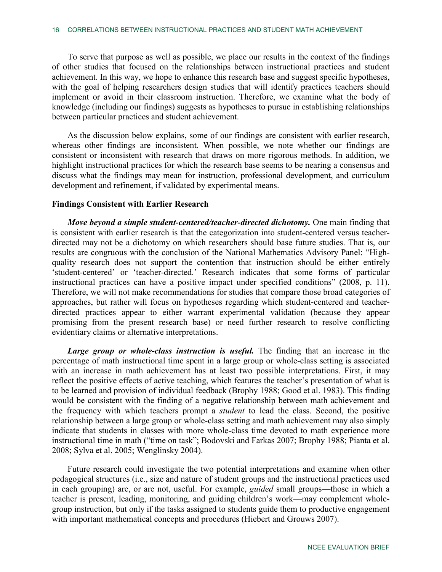To serve that purpose as well as possible, we place our results in the context of the findings of other studies that focused on the relationships between instructional practices and student achievement. In this way, we hope to enhance this research base and suggest specific hypotheses, with the goal of helping researchers design studies that will identify practices teachers should implement or avoid in their classroom instruction. Therefore, we examine what the body of knowledge (including our findings) suggests as hypotheses to pursue in establishing relationships between particular practices and student achievement.

As the discussion below explains, some of our findings are consistent with earlier research, whereas other findings are inconsistent. When possible, we note whether our findings are consistent or inconsistent with research that draws on more rigorous methods. In addition, we highlight instructional practices for which the research base seems to be nearing a consensus and discuss what the findings may mean for instruction, professional development, and curriculum development and refinement, if validated by experimental means.

## **Findings Consistent with Earlier Research**

*Move beyond a simple student-centered/teacher-directed dichotomy.* One main finding that is consistent with earlier research is that the categorization into student-centered versus teacherdirected may not be a dichotomy on which researchers should base future studies. That is, our results are congruous with the conclusion of the National Mathematics Advisory Panel: "Highquality research does not support the contention that instruction should be either entirely 'student-centered' or 'teacher-directed.' Research indicates that some forms of particular instructional practices can have a positive impact under specified conditions" (2008, p. 11). Therefore, we will not make recommendations for studies that compare those broad categories of approaches, but rather will focus on hypotheses regarding which student-centered and teacherdirected practices appear to either warrant experimental validation (because they appear promising from the present research base) or need further research to resolve conflicting evidentiary claims or alternative interpretations.

*Large group or whole-class instruction is useful.* The finding that an increase in the percentage of math instructional time spent in a large group or whole-class setting is associated with an increase in math achievement has at least two possible interpretations. First, it may reflect the positive effects of active teaching, which features the teacher's presentation of what is to be learned and provision of individual feedback (Brophy 1988; Good et al. 1983). This finding would be consistent with the finding of a negative relationship between math achievement and the frequency with which teachers prompt a *student* to lead the class. Second, the positive relationship between a large group or whole-class setting and math achievement may also simply indicate that students in classes with more whole-class time devoted to math experience more instructional time in math ("time on task"; Bodovski and Farkas 2007; Brophy 1988; Pianta et al. 2008; Sylva et al. 2005; Wenglinsky 2004).

Future research could investigate the two potential interpretations and examine when other pedagogical structures (i.e., size and nature of student groups and the instructional practices used in each grouping) are, or are not, useful. For example, *guided* small groups—those in which a teacher is present, leading, monitoring, and guiding children's work—may complement wholegroup instruction, but only if the tasks assigned to students guide them to productive engagement with important mathematical concepts and procedures (Hiebert and Grouws 2007).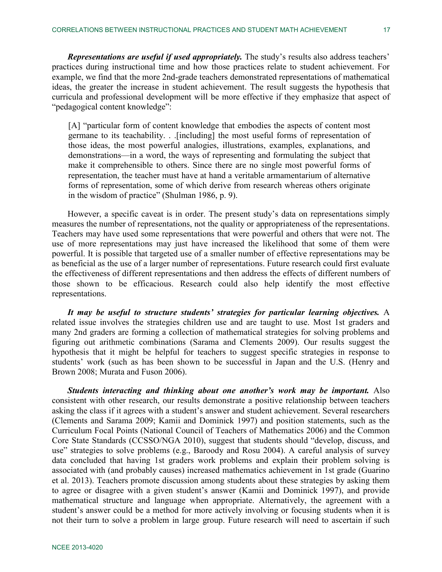*Representations are useful if used appropriately.* The study's results also address teachers' practices during instructional time and how those practices relate to student achievement. For example, we find that the more 2nd-grade teachers demonstrated representations of mathematical ideas, the greater the increase in student achievement. The result suggests the hypothesis that curricula and professional development will be more effective if they emphasize that aspect of "pedagogical content knowledge":

[A] "particular form of content knowledge that embodies the aspects of content most germane to its teachability. . .[including] the most useful forms of representation of those ideas, the most powerful analogies, illustrations, examples, explanations, and demonstrations—in a word, the ways of representing and formulating the subject that make it comprehensible to others. Since there are no single most powerful forms of representation, the teacher must have at hand a veritable armamentarium of alternative forms of representation, some of which derive from research whereas others originate in the wisdom of practice" (Shulman 1986, p. 9).

However, a specific caveat is in order. The present study's data on representations simply measures the number of representations, not the quality or appropriateness of the representations. Teachers may have used some representations that were powerful and others that were not. The use of more representations may just have increased the likelihood that some of them were powerful. It is possible that targeted use of a smaller number of effective representations may be as beneficial as the use of a larger number of representations. Future research could first evaluate the effectiveness of different representations and then address the effects of different numbers of those shown to be efficacious. Research could also help identify the most effective representations.

*It may be useful to structure students' strategies for particular learning objectives.* A related issue involves the strategies children use and are taught to use. Most 1st graders and many 2nd graders are forming a collection of mathematical strategies for solving problems and figuring out arithmetic combinations (Sarama and Clements 2009). Our results suggest the hypothesis that it might be helpful for teachers to suggest specific strategies in response to students' work (such as has been shown to be successful in Japan and the U.S. (Henry and Brown 2008; Murata and Fuson 2006).

*Students interacting and thinking about one another's work may be important.* Also consistent with other research, our results demonstrate a positive relationship between teachers asking the class if it agrees with a student's answer and student achievement. Several researchers (Clements and Sarama 2009; Kamii and Dominick 1997) and position statements, such as the Curriculum Focal Points (National Council of Teachers of Mathematics 2006) and the Common Core State Standards (CCSSO/NGA 2010), suggest that students should "develop, discuss, and use" strategies to solve problems (e.g., Baroody and Rosu 2004). A careful analysis of survey data concluded that having 1st graders work problems and explain their problem solving is associated with (and probably causes) increased mathematics achievement in 1st grade (Guarino et al. 2013). Teachers promote discussion among students about these strategies by asking them to agree or disagree with a given student's answer (Kamii and Dominick 1997), and provide mathematical structure and language when appropriate. Alternatively, the agreement with a student's answer could be a method for more actively involving or focusing students when it is not their turn to solve a problem in large group. Future research will need to ascertain if such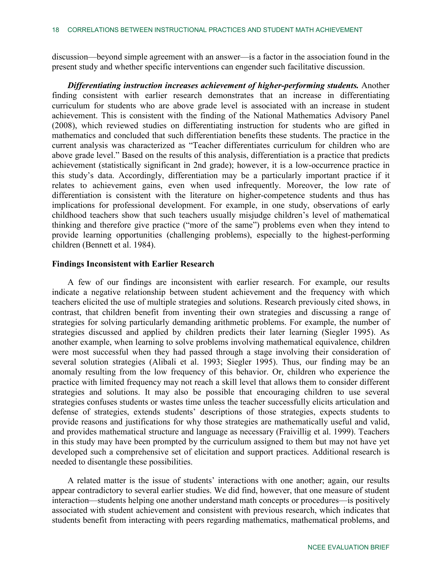discussion—beyond simple agreement with an answer—is a factor in the association found in the present study and whether specific interventions can engender such facilitative discussion.

*Differentiating instruction increases achievement of higher-performing students.* Another finding consistent with earlier research demonstrates that an increase in differentiating curriculum for students who are above grade level is associated with an increase in student achievement. This is consistent with the finding of the National Mathematics Advisory Panel (2008), which reviewed studies on differentiating instruction for students who are gifted in mathematics and concluded that such differentiation benefits these students. The practice in the current analysis was characterized as "Teacher differentiates curriculum for children who are above grade level." Based on the results of this analysis, differentiation is a practice that predicts achievement (statistically significant in 2nd grade); however, it is a low-occurrence practice in this study's data. Accordingly, differentiation may be a particularly important practice if it relates to achievement gains, even when used infrequently. Moreover, the low rate of differentiation is consistent with the literature on higher-competence students and thus has implications for professional development. For example, in one study, observations of early childhood teachers show that such teachers usually misjudge children's level of mathematical thinking and therefore give practice ("more of the same") problems even when they intend to provide learning opportunities (challenging problems), especially to the highest-performing children (Bennett et al. 1984).

## **Findings Inconsistent with Earlier Research**

A few of our findings are inconsistent with earlier research. For example, our results indicate a negative relationship between student achievement and the frequency with which teachers elicited the use of multiple strategies and solutions. Research previously cited shows, in contrast, that children benefit from inventing their own strategies and discussing a range of strategies for solving particularly demanding arithmetic problems. For example, the number of strategies discussed and applied by children predicts their later learning (Siegler 1995). As another example, when learning to solve problems involving mathematical equivalence, children were most successful when they had passed through a stage involving their consideration of several solution strategies (Alibali et al. 1993; Siegler 1995). Thus, our finding may be an anomaly resulting from the low frequency of this behavior. Or, children who experience the practice with limited frequency may not reach a skill level that allows them to consider different strategies and solutions. It may also be possible that encouraging children to use several strategies confuses students or wastes time unless the teacher successfully elicits articulation and defense of strategies, extends students' descriptions of those strategies, expects students to provide reasons and justifications for why those strategies are mathematically useful and valid, and provides mathematical structure and language as necessary (Fraivillig et al. 1999). Teachers in this study may have been prompted by the curriculum assigned to them but may not have yet developed such a comprehensive set of elicitation and support practices. Additional research is needed to disentangle these possibilities.

A related matter is the issue of students' interactions with one another; again, our results appear contradictory to several earlier studies. We did find, however, that one measure of student interaction—students helping one another understand math concepts or procedures—is positively associated with student achievement and consistent with previous research, which indicates that students benefit from interacting with peers regarding mathematics, mathematical problems, and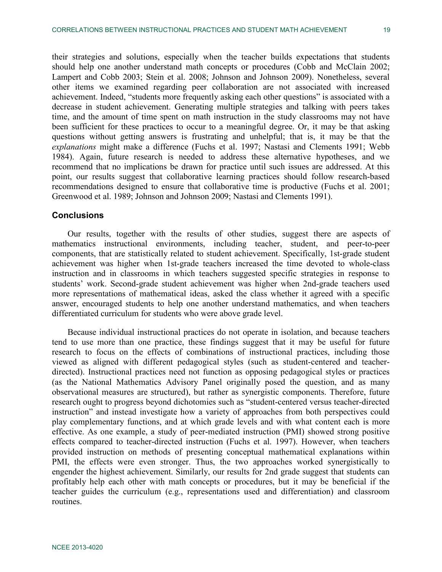their strategies and solutions, especially when the teacher builds expectations that students should help one another understand math concepts or procedures (Cobb and McClain 2002; Lampert and Cobb 2003; Stein et al. 2008; Johnson and Johnson 2009). Nonetheless, several other items we examined regarding peer collaboration are not associated with increased achievement. Indeed, "students more frequently asking each other questions" is associated with a decrease in student achievement. Generating multiple strategies and talking with peers takes time, and the amount of time spent on math instruction in the study classrooms may not have been sufficient for these practices to occur to a meaningful degree. Or, it may be that asking questions without getting answers is frustrating and unhelpful; that is, it may be that the *explanations* might make a difference (Fuchs et al. 1997; Nastasi and Clements 1991; Webb 1984). Again, future research is needed to address these alternative hypotheses, and we recommend that no implications be drawn for practice until such issues are addressed. At this point, our results suggest that collaborative learning practices should follow research-based recommendations designed to ensure that collaborative time is productive (Fuchs et al. 2001; Greenwood et al. 1989; Johnson and Johnson 2009; Nastasi and Clements 1991).

## **Conclusions**

Our results, together with the results of other studies, suggest there are aspects of mathematics instructional environments, including teacher, student, and peer-to-peer components, that are statistically related to student achievement. Specifically, 1st-grade student achievement was higher when 1st-grade teachers increased the time devoted to whole-class instruction and in classrooms in which teachers suggested specific strategies in response to students' work. Second-grade student achievement was higher when 2nd-grade teachers used more representations of mathematical ideas, asked the class whether it agreed with a specific answer, encouraged students to help one another understand mathematics, and when teachers differentiated curriculum for students who were above grade level.

Because individual instructional practices do not operate in isolation, and because teachers tend to use more than one practice, these findings suggest that it may be useful for future research to focus on the effects of combinations of instructional practices, including those viewed as aligned with different pedagogical styles (such as student-centered and teacherdirected). Instructional practices need not function as opposing pedagogical styles or practices (as the National Mathematics Advisory Panel originally posed the question, and as many observational measures are structured), but rather as synergistic components. Therefore, future research ought to progress beyond dichotomies such as "student-centered versus teacher-directed instruction" and instead investigate how a variety of approaches from both perspectives could play complementary functions, and at which grade levels and with what content each is more effective. As one example, a study of peer-mediated instruction (PMI) showed strong positive effects compared to teacher-directed instruction (Fuchs et al. 1997). However, when teachers provided instruction on methods of presenting conceptual mathematical explanations within PMI, the effects were even stronger. Thus, the two approaches worked synergistically to engender the highest achievement. Similarly, our results for 2nd grade suggest that students can profitably help each other with math concepts or procedures, but it may be beneficial if the teacher guides the curriculum (e.g., representations used and differentiation) and classroom routines.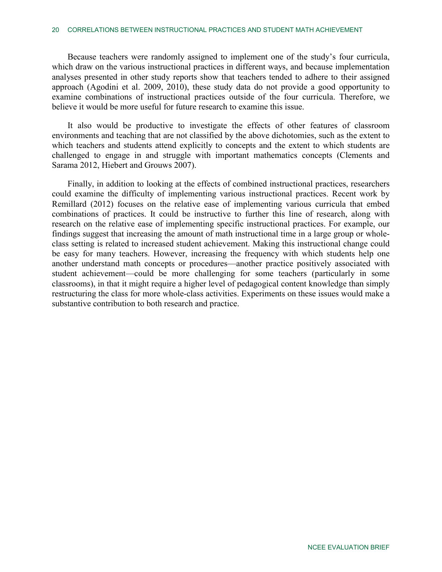Because teachers were randomly assigned to implement one of the study's four curricula, which draw on the various instructional practices in different ways, and because implementation analyses presented in other study reports show that teachers tended to adhere to their assigned approach (Agodini et al. 2009, 2010), these study data do not provide a good opportunity to examine combinations of instructional practices outside of the four curricula. Therefore, we believe it would be more useful for future research to examine this issue.

It also would be productive to investigate the effects of other features of classroom environments and teaching that are not classified by the above dichotomies, such as the extent to which teachers and students attend explicitly to concepts and the extent to which students are challenged to engage in and struggle with important mathematics concepts (Clements and Sarama 2012, Hiebert and Grouws 2007).

Finally, in addition to looking at the effects of combined instructional practices, researchers could examine the difficulty of implementing various instructional practices. Recent work by Remillard (2012) focuses on the relative ease of implementing various curricula that embed combinations of practices. It could be instructive to further this line of research, along with research on the relative ease of implementing specific instructional practices. For example, our findings suggest that increasing the amount of math instructional time in a large group or wholeclass setting is related to increased student achievement. Making this instructional change could be easy for many teachers. However, increasing the frequency with which students help one another understand math concepts or procedures—another practice positively associated with student achievement—could be more challenging for some teachers (particularly in some classrooms), in that it might require a higher level of pedagogical content knowledge than simply restructuring the class for more whole-class activities. Experiments on these issues would make a substantive contribution to both research and practice.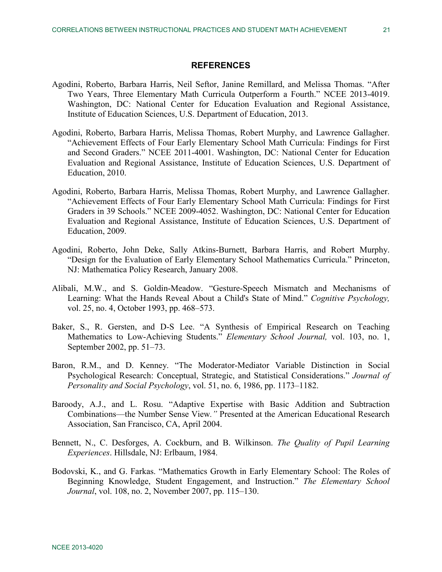## **REFERENCES**

- Agodini, Roberto, Barbara Harris, Neil Seftor, Janine Remillard, and Melissa Thomas. "After Two Years, Three Elementary Math Curricula Outperform a Fourth." NCEE 2013-4019. Washington, DC: National Center for Education Evaluation and Regional Assistance, Institute of Education Sciences, U.S. Department of Education, 2013.
- Agodini, Roberto, Barbara Harris, Melissa Thomas, Robert Murphy, and Lawrence Gallagher. "Achievement Effects of Four Early Elementary School Math Curricula: Findings for First and Second Graders." NCEE 2011-4001. Washington, DC: National Center for Education Evaluation and Regional Assistance, Institute of Education Sciences, U.S. Department of Education, 2010.
- Agodini, Roberto, Barbara Harris, Melissa Thomas, Robert Murphy, and Lawrence Gallagher. "Achievement Effects of Four Early Elementary School Math Curricula: Findings for First Graders in 39 Schools." NCEE 2009-4052. Washington, DC: National Center for Education Evaluation and Regional Assistance, Institute of Education Sciences, U.S. Department of Education, 2009.
- Agodini, Roberto, John Deke, Sally Atkins-Burnett, Barbara Harris, and Robert Murphy. "Design for the Evaluation of Early Elementary School Mathematics Curricula." Princeton, NJ: Mathematica Policy Research, January 2008.
- Alibali, M.W., and S. Goldin-Meadow. "Gesture-Speech Mismatch and Mechanisms of Learning: What the Hands Reveal About a Child's State of Mind." *Cognitive Psychology,*  vol. 25, no. 4, October 1993, pp. 468–573.
- Baker, S., R. Gersten, and D-S Lee. "A Synthesis of Empirical Research on Teaching Mathematics to Low-Achieving Students." *Elementary School Journal,* vol. 103, no. 1, September 2002, pp. 51–73.
- Baron, R.M., and D. Kenney. "The Moderator-Mediator Variable Distinction in Social Psychological Research: Conceptual, Strategic, and Statistical Considerations." *Journal of Personality and Social Psychology*, vol. 51, no. 6, 1986, pp. 1173–1182.
- Baroody, A.J., and L. Rosu. "Adaptive Expertise with Basic Addition and Subtraction Combinations—the Number Sense View*."* Presented at the American Educational Research Association, San Francisco, CA, April 2004.
- Bennett, N., C. Desforges, A. Cockburn, and B. Wilkinson. *The Quality of Pupil Learning Experiences*. Hillsdale, NJ: Erlbaum, 1984.
- Bodovski, K., and G. Farkas. "Mathematics Growth in Early Elementary School: The Roles of Beginning Knowledge, Student Engagement, and Instruction." *The Elementary School Journal*, vol. 108, no. 2, November 2007, pp. 115–130.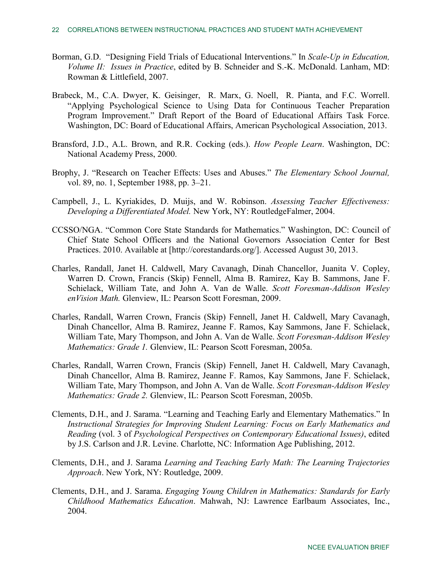- Borman, G.D. "Designing Field Trials of Educational Interventions." In *Scale-Up in Education, Volume II: Issues in Practice*, edited by B. Schneider and S.-K. McDonald. Lanham, MD: Rowman & Littlefield, 2007.
- Brabeck, M., C.A. Dwyer, K. Geisinger, R. Marx, G. Noell, R. Pianta, and F.C. Worrell. "Applying Psychological Science to Using Data for Continuous Teacher Preparation Program Improvement." Draft Report of the Board of Educational Affairs Task Force. Washington, DC: Board of Educational Affairs, American Psychological Association, 2013.
- Bransford, J.D., A.L. Brown, and R.R. Cocking (eds.). *How People Learn*. Washington, DC: National Academy Press, 2000.
- Brophy, J. "Research on Teacher Effects: Uses and Abuses." *The Elementary School Journal,*  vol. 89, no. 1, September 1988, pp. 3–21.
- Campbell, J., L. Kyriakides, D. Muijs, and W. Robinson. *Assessing Teacher Effectiveness: Developing a Differentiated Model.* New York, NY: RoutledgeFalmer, 2004.
- CCSSO/NGA. "Common Core State Standards for Mathematics." Washington, DC: Council of Chief State School Officers and the National Governors Association Center for Best Practices. 2010. Available at [http://corestandards.org/]. Accessed August 30, 2013.
- Charles, Randall, Janet H. Caldwell, Mary Cavanagh, Dinah Chancellor, Juanita V. Copley, Warren D. Crown, Francis (Skip) Fennell, Alma B. Ramirez, Kay B. Sammons, Jane F. Schielack, William Tate, and John A. Van de Walle. *Scott Foresman-Addison Wesley enVision Math.* Glenview, IL: Pearson Scott Foresman, 2009.
- Charles, Randall, Warren Crown, Francis (Skip) Fennell, Janet H. Caldwell, Mary Cavanagh, Dinah Chancellor, Alma B. Ramirez, Jeanne F. Ramos, Kay Sammons, Jane F. Schielack, William Tate, Mary Thompson, and John A. Van de Walle. *Scott Foresman-Addison Wesley Mathematics: Grade 1.* Glenview, IL: Pearson Scott Foresman, 2005a.
- Charles, Randall, Warren Crown, Francis (Skip) Fennell, Janet H. Caldwell, Mary Cavanagh, Dinah Chancellor, Alma B. Ramirez, Jeanne F. Ramos, Kay Sammons, Jane F. Schielack, William Tate, Mary Thompson, and John A. Van de Walle. *Scott Foresman-Addison Wesley Mathematics: Grade 2.* Glenview, IL: Pearson Scott Foresman, 2005b.
- Clements, D.H., and J. Sarama. "Learning and Teaching Early and Elementary Mathematics." In *Instructional Strategies for Improving Student Learning: Focus on Early Mathematics and Reading* (vol. 3 of *Psychological Perspectives on Contemporary Educational Issues)*, edited by J.S. Carlson and J.R. Levine. Charlotte, NC: Information Age Publishing, 2012.
- Clements, D.H., and J. Sarama *Learning and Teaching Early Math: The Learning Trajectories Approach*. New York, NY: Routledge, 2009.
- Clements, D.H., and J. Sarama. *Engaging Young Children in Mathematics: Standards for Early Childhood Mathematics Education*. Mahwah, NJ: Lawrence Earlbaum Associates, Inc., 2004.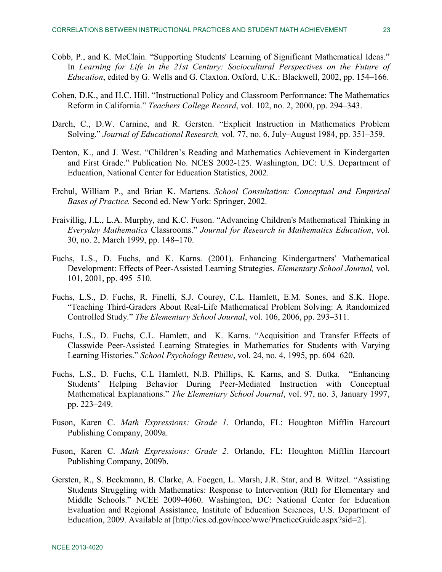- Cobb, P., and K. McClain. "Supporting Students' Learning of Significant Mathematical Ideas." In *Learning for Life in the 21st Century: Sociocultural Perspectives on the Future of Education*, edited by G. Wells and G. Claxton. Oxford, U.K.: Blackwell, 2002, pp. 154–166.
- Cohen, D.K., and H.C. Hill. "Instructional Policy and Classroom Performance: The Mathematics Reform in California." *Teachers College Record*, vol. 102, no. 2, 2000, pp. 294–343.
- Darch, C., D.W. Carnine, and R. Gersten. "Explicit Instruction in Mathematics Problem Solving." *Journal of Educational Research,* vol. 77, no. 6, July–August 1984, pp. 351–359.
- Denton, K., and J. West. "Children's Reading and Mathematics Achievement in Kindergarten and First Grade." Publication No. NCES 2002-125. Washington, DC: U.S. Department of Education, National Center for Education Statistics, 2002.
- Erchul, William P., and Brian K. Martens. *School Consultation: Conceptual and Empirical Bases of Practice.* Second ed. New York: Springer, 2002.
- Fraivillig, J.L., L.A. Murphy, and K.C. Fuson. "Advancing Children's Mathematical Thinking in *Everyday Mathematics* Classrooms." *Journal for Research in Mathematics Education*, vol. 30, no. 2, March 1999, pp. 148–170.
- Fuchs, L.S., D. Fuchs, and K. Karns. (2001). Enhancing Kindergartners' Mathematical Development: Effects of Peer-Assisted Learning Strategies. *Elementary School Journal,* vol. 101, 2001, pp. 495–510.
- Fuchs, L.S., D. Fuchs, R. Finelli, S.J. Courey, C.L. Hamlett, E.M. Sones, and S.K. Hope. "Teaching Third-Graders About Real-Life Mathematical Problem Solving: A Randomized Controlled Study." *The Elementary School Journal*, vol. 106, 2006, pp. 293–311.
- Fuchs, L.S., D. Fuchs, C.L. Hamlett, and K. Karns. "Acquisition and Transfer Effects of Classwide Peer-Assisted Learning Strategies in Mathematics for Students with Varying Learning Histories." *School Psychology Review*, vol. 24, no. 4, 1995, pp. 604–620.
- Fuchs, L.S., D. Fuchs, C.L Hamlett, N.B. Phillips, K. Karns, and S. Dutka. "Enhancing Students' Helping Behavior During Peer-Mediated Instruction with Conceptual Mathematical Explanations." *The Elementary School Journal*, vol. 97, no. 3, January 1997, pp. 223–249.
- Fuson, Karen C. *Math Expressions: Grade 1.* Orlando, FL: Houghton Mifflin Harcourt Publishing Company, 2009a.
- Fuson, Karen C. *Math Expressions: Grade 2*. Orlando, FL: Houghton Mifflin Harcourt Publishing Company, 2009b.
- Gersten, R., S. Beckmann, B. Clarke, A. Foegen, L. Marsh, J.R. Star, and B. Witzel. "Assisting Students Struggling with Mathematics: Response to Intervention (RtI) for Elementary and Middle Schools." NCEE 2009-4060. Washington, DC: National Center for Education Evaluation and Regional Assistance, Institute of Education Sciences, U.S. Department of Education, 2009. Available at [http://ies.ed.gov/ncee/wwc/PracticeGuide.aspx?sid=2].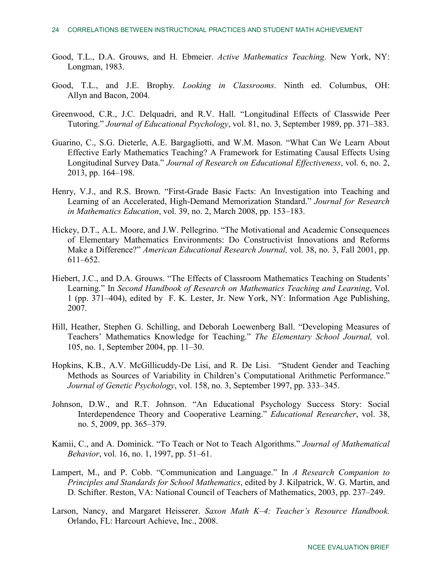- Good, T.L., D.A. Grouws, and H. Ebmeier. *Active Mathematics Teaching*. New York, NY: Longman, 1983.
- Good, T.L., and J.E. Brophy. *Looking in Classrooms*. Ninth ed. Columbus, OH: Allyn and Bacon, 2004.
- Greenwood, C.R., J.C. Delquadri, and R.V. Hall. "Longitudinal Effects of Classwide Peer Tutoring." *Journal of Educational Psychology*, vol. 81, no. 3, September 1989, pp. 371–383.
- Guarino, C., S.G. Dieterle, A.E. Bargagliotti, and W.M. Mason. "What Can We Learn About Effective Early Mathematics Teaching? A Framework for Estimating Causal Effects Using Longitudinal Survey Data." *Journal of Research on Educational Effectiveness*, vol. 6, no. 2, 2013, pp. 164–198.
- Henry, V.J., and R.S. Brown. "First-Grade Basic Facts: An Investigation into Teaching and Learning of an Accelerated, High-Demand Memorization Standard." *Journal for Research in Mathematics Education*, vol. 39, no. 2, March 2008, pp. 153–183.
- Hickey, D.T., A.L. Moore, and J.W. Pellegrino. "The Motivational and Academic Consequences of Elementary Mathematics Environments: Do Constructivist Innovations and Reforms Make a Difference?" *American Educational Research Journal,* vol. 38, no. 3, Fall 2001, pp. 611–652.
- Hiebert, J.C., and D.A. Grouws. "The Effects of Classroom Mathematics Teaching on Students' Learning." In *Second Handbook of Research on Mathematics Teaching and Learning*, Vol. 1 (pp. 371–404), edited by F. K. Lester, Jr. New York, NY: Information Age Publishing, 2007.
- Hill, Heather, Stephen G. Schilling, and Deborah Loewenberg Ball. "Developing Measures of Teachers' Mathematics Knowledge for Teaching." *The Elementary School Journal,* vol. 105, no. 1, September 2004, pp. 11–30.
- Hopkins, K.B., A.V. McGillicuddy-De Lisi, and R. De Lisi. "Student Gender and Teaching Methods as Sources of Variability in Children's Computational Arithmetic Performance." *Journal of Genetic Psychology*, vol. 158, no. 3, September 1997, pp. 333–345.
- Johnson, D.W., and R.T. Johnson. "An Educational Psychology Success Story: Social Interdependence Theory and Cooperative Learning." *Educational Researcher*, vol. 38, no. 5, 2009, pp. 365–379.
- Kamii, C., and A. Dominick. "To Teach or Not to Teach Algorithms." *Journal of Mathematical Behavior*, vol. 16, no. 1, 1997, pp. 51–61.
- Lampert, M., and P. Cobb. "Communication and Language." In *A Research Companion to Principles and Standards for School Mathematics*, edited by J. Kilpatrick, W. G. Martin, and D. Schifter. Reston, VA: National Council of Teachers of Mathematics, 2003, pp. 237–249.
- Larson, Nancy, and Margaret Heisserer. *Saxon Math K–4: Teacher's Resource Handbook.* Orlando, FL: Harcourt Achieve, Inc., 2008.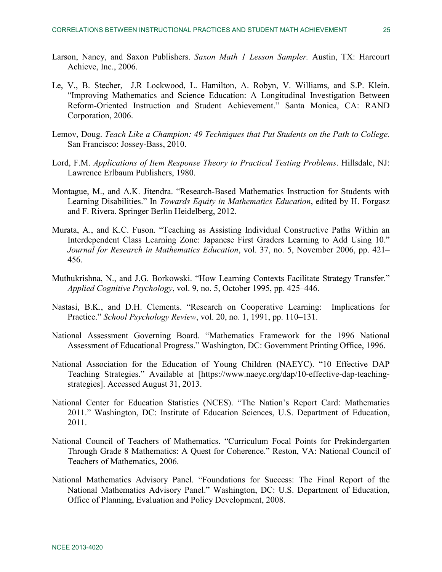- Larson, Nancy, and Saxon Publishers. *Saxon Math 1 Lesson Sampler.* Austin, TX: Harcourt Achieve, Inc., 2006.
- Le, V., B. Stecher, J.R Lockwood, L. Hamilton, A. Robyn, V. Williams, and S.P. Klein. "Improving Mathematics and Science Education: A Longitudinal Investigation Between Reform-Oriented Instruction and Student Achievement." Santa Monica, CA: RAND Corporation, 2006.
- Lemov, Doug. *Teach Like a Champion: 49 Techniques that Put Students on the Path to College.* San Francisco: Jossey-Bass, 2010.
- Lord, F.M. *Applications of Item Response Theory to Practical Testing Problems*. Hillsdale, NJ: Lawrence Erlbaum Publishers, 1980.
- Montague, M., and A.K. Jitendra. "Research-Based Mathematics Instruction for Students with Learning Disabilities." In *Towards Equity in Mathematics Education*, edited by H. Forgasz and F. Rivera. Springer Berlin Heidelberg, 2012.
- Murata, A., and K.C. Fuson. "Teaching as Assisting Individual Constructive Paths Within an Interdependent Class Learning Zone: Japanese First Graders Learning to Add Using 10." *Journal for Research in Mathematics Education*, vol. 37, no. 5, November 2006, pp. 421– 456.
- Muthukrishna, N., and J.G. Borkowski. "How Learning Contexts Facilitate Strategy Transfer." *Applied Cognitive Psychology*, vol. 9, no. 5, October 1995, pp. 425–446.
- Nastasi, B.K., and D.H. Clements. "Research on Cooperative Learning: Implications for Practice." *School Psychology Review*, vol. 20, no. 1, 1991, pp. 110–131.
- National Assessment Governing Board. "Mathematics Framework for the 1996 National Assessment of Educational Progress." Washington, DC: Government Printing Office, 1996.
- National Association for the Education of Young Children (NAEYC). "10 Effective DAP Teaching Strategies." Available at [https://www.naeyc.org/dap/10-effective-dap-teachingstrategies]. Accessed August 31, 2013.
- National Center for Education Statistics (NCES). "The Nation's Report Card: Mathematics 2011." Washington, DC: Institute of Education Sciences, U.S. Department of Education, 2011.
- National Council of Teachers of Mathematics. "Curriculum Focal Points for Prekindergarten Through Grade 8 Mathematics: A Quest for Coherence." Reston, VA: National Council of Teachers of Mathematics, 2006.
- National Mathematics Advisory Panel. "Foundations for Success: The Final Report of the National Mathematics Advisory Panel." Washington, DC: U.S. Department of Education, Office of Planning, Evaluation and Policy Development, 2008.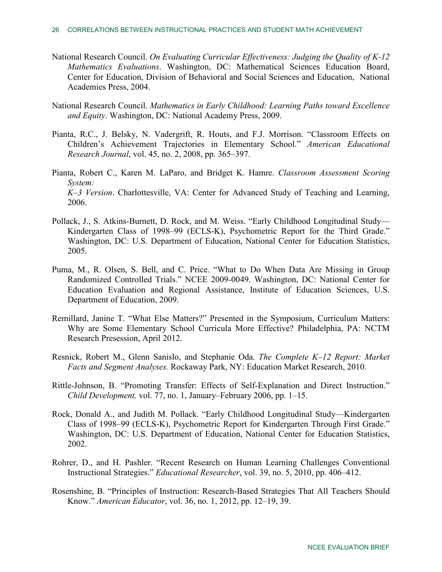- National Research Council. *On Evaluating Curricular Effectiveness: Judging the Quality of K-12 Mathematics Evaluations*. Washington, DC: Mathematical Sciences Education Board, Center for Education, Division of Behavioral and Social Sciences and Education, National Academies Press, 2004.
- National Research Council. *Mathematics in Early Childhood: Learning Paths toward Excellence and Equity*. Washington, DC: National Academy Press, 2009.
- Pianta, R.C., J. Belsky, N. Vadergrift, R. Houts, and F.J. Morrison. "Classroom Effects on Children's Achievement Trajectories in Elementary School." *American Educational Research Journal*, vol. 45, no. 2, 2008, pp. 365–397.
- Pianta, Robert C., Karen M. LaParo, and Bridget K. Hamre. *Classroom Assessment Scoring System: K–3 Version*. Charlottesville, VA: Center for Advanced Study of Teaching and Learning, 2006.
- Pollack, J., S. Atkins-Burnett, D. Rock, and M. Weiss. "Early Childhood Longitudinal Study— Kindergarten Class of 1998–99 (ECLS-K), Psychometric Report for the Third Grade." Washington, DC: U.S. Department of Education, National Center for Education Statistics, 2005.
- Puma, M., R. Olsen, S. Bell, and C. Price. "What to Do When Data Are Missing in Group Randomized Controlled Trials." NCEE 2009-0049. Washington, DC: National Center for Education Evaluation and Regional Assistance, Institute of Education Sciences, U.S. Department of Education, 2009.
- Remillard, Janine T. "What Else Matters?" Presented in the Symposium, Curriculum Matters: Why are Some Elementary School Curricula More Effective? Philadelphia, PA: NCTM Research Presession, April 2012.
- Resnick, Robert M., Glenn Sanislo, and Stephanie Oda. *The Complete K–12 Report: Market Facts and Segment Analyses.* Rockaway Park, NY: Education Market Research, 2010.
- Rittle-Johnson, B. "Promoting Transfer: Effects of Self-Explanation and Direct Instruction." *Child Development,* vol. 77, no. 1, January–February 2006, pp. 1–15.
- Rock, Donald A., and Judith M. Pollack. "Early Childhood Longitudinal Study—Kindergarten Class of 1998–99 (ECLS-K), Psychometric Report for Kindergarten Through First Grade." Washington, DC: U.S. Department of Education, National Center for Education Statistics, 2002.
- Rohrer, D., and H. Pashler. "Recent Research on Human Learning Challenges Conventional Instructional Strategies." *Educational Researcher*, vol. 39, no. 5, 2010, pp. 406–412.
- Rosenshine, B. "Principles of Instruction: Research-Based Strategies That All Teachers Should Know." *American Educator*, vol. 36, no. 1, 2012, pp. 12–19, 39.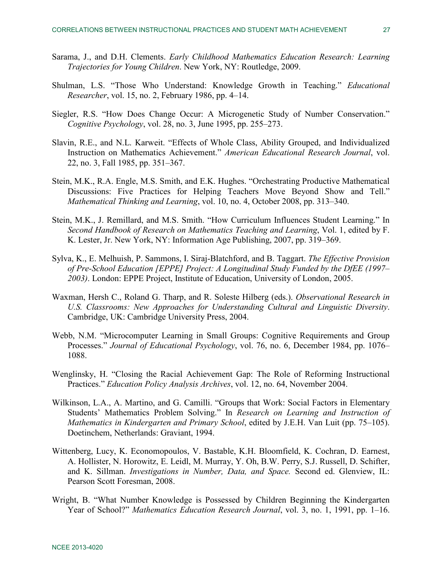- Sarama, J., and D.H. Clements. *Early Childhood Mathematics Education Research: Learning Trajectories for Young Children*. New York, NY: Routledge, 2009.
- Shulman, L.S. "Those Who Understand: Knowledge Growth in Teaching." *Educational Researcher*, vol. 15, no. 2, February 1986, pp. 4–14.
- Siegler, R.S. "How Does Change Occur: A Microgenetic Study of Number Conservation." *Cognitive Psychology*, vol. 28, no. 3, June 1995, pp. 255–273.
- Slavin, R.E., and N.L. Karweit. "Effects of Whole Class, Ability Grouped, and Individualized Instruction on Mathematics Achievement." *American Educational Research Journal*, vol. 22, no. 3, Fall 1985, pp. 351–367.
- Stein, M.K., R.A. Engle, M.S. Smith, and E.K. Hughes. "Orchestrating Productive Mathematical Discussions: Five Practices for Helping Teachers Move Beyond Show and Tell." *Mathematical Thinking and Learning*, vol. 10, no. 4, October 2008, pp. 313–340.
- Stein, M.K., J. Remillard, and M.S. Smith. "How Curriculum Influences Student Learning." In *Second Handbook of Research on Mathematics Teaching and Learning*, Vol. 1, edited by F. K. Lester, Jr. New York, NY: Information Age Publishing, 2007, pp. 319–369.
- Sylva, K., E. Melhuish, P. Sammons, I. Siraj-Blatchford, and B. Taggart. *The Effective Provision of Pre-School Education [EPPE] Project: A Longitudinal Study Funded by the DfEE (1997– 2003)*. London: EPPE Project, Institute of Education, University of London, 2005.
- Waxman, Hersh C., Roland G. Tharp, and R. Soleste Hilberg (eds.). *Observational Research in U.S. Classrooms: New Approaches for Understanding Cultural and Linguistic Diversity*. Cambridge, UK: Cambridge University Press, 2004.
- Webb, N.M. "Microcomputer Learning in Small Groups: Cognitive Requirements and Group Processes." *Journal of Educational Psychology*, vol. 76, no. 6, December 1984, pp. 1076– 1088.
- Wenglinsky, H. "Closing the Racial Achievement Gap: The Role of Reforming Instructional Practices." *Education Policy Analysis Archives*, vol. 12, no. 64, November 2004.
- Wilkinson, L.A., A. Martino, and G. Camilli. "Groups that Work: Social Factors in Elementary Students' Mathematics Problem Solving." In *Research on Learning and Instruction of Mathematics in Kindergarten and Primary School*, edited by J.E.H. Van Luit (pp. 75–105). Doetinchem, Netherlands: Graviant, 1994.
- Wittenberg, Lucy, K. Economopoulos, V. Bastable, K.H. Bloomfield, K. Cochran, D. Earnest, A. Hollister, N. Horowitz, E. Leidl, M. Murray, Y. Oh, B.W. Perry, S.J. Russell, D. Schifter, and K. Sillman. *Investigations in Number, Data, and Space.* Second ed. Glenview, IL: Pearson Scott Foresman, 2008.
- Wright, B. "What Number Knowledge is Possessed by Children Beginning the Kindergarten Year of School?" *Mathematics Education Research Journal*, vol. 3, no. 1, 1991, pp. 1–16.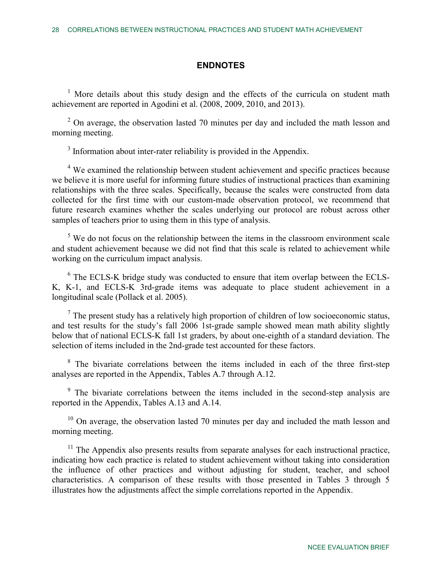# **ENDNOTES**

<span id="page-27-0"></span><sup>1</sup> More details about this study design and the effects of the curricula on student math achievement are reported in Agodini et al. (2008, 2009, 2010, and 2013).

<span id="page-27-1"></span> $2$  On average, the observation lasted 70 minutes per day and included the math lesson and morning meeting.

 $3$  Information about inter-rater reliability is provided in the Appendix.

<span id="page-27-3"></span><span id="page-27-2"></span><sup>4</sup> We examined the relationship between student achievement and specific practices because we believe it is more useful for informing future studies of instructional practices than examining relationships with the three scales. Specifically, because the scales were constructed from data collected for the first time with our custom-made observation protocol, we recommend that future research examines whether the scales underlying our protocol are robust across other samples of teachers prior to using them in this type of analysis.

<span id="page-27-4"></span> $5$  We do not focus on the relationship between the items in the classroom environment scale and student achievement because we did not find that this scale is related to achievement while working on the curriculum impact analysis.

<span id="page-27-5"></span><sup>6</sup> The ECLS-K bridge study was conducted to ensure that item overlap between the ECLS-K, K-1, and ECLS-K 3rd-grade items was adequate to place student achievement in a longitudinal scale (Pollack et al. 2005).

<span id="page-27-6"></span> $<sup>7</sup>$  The present study has a relatively high proportion of children of low socioeconomic status,</sup> and test results for the study's fall 2006 1st-grade sample showed mean math ability slightly below that of national ECLS-K fall 1st graders, by about one-eighth of a standard deviation. The selection of items included in the 2nd-grade test accounted for these factors.

<span id="page-27-7"></span><sup>8</sup> The bivariate correlations between the items included in each of the three first-step analyses are reported in the Appendix, Tables A.7 through A.12.

<span id="page-27-8"></span><sup>9</sup> The bivariate correlations between the items included in the second-step analysis are reported in the Appendix, Tables A.13 and A.14.

<span id="page-27-9"></span> $10$  On average, the observation lasted 70 minutes per day and included the math lesson and morning meeting.

<span id="page-27-10"></span> $11$  The Appendix also presents results from separate analyses for each instructional practice, indicating how each practice is related to student achievement without taking into consideration the influence of other practices and without adjusting for student, teacher, and school characteristics. A comparison of these results with those presented in Tables 3 through 5 illustrates how the adjustments affect the simple correlations reported in the Appendix.